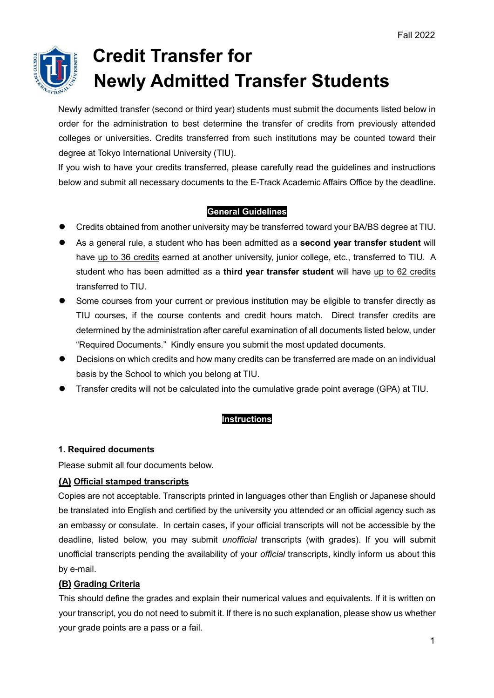

# **Credit Transfer for Newly Admitted Transfer Students**

Newly admitted transfer (second or third year) students must submit the documents listed below in order for the administration to best determine the transfer of credits from previously attended colleges or universities. Credits transferred from such institutions may be counted toward their degree at Tokyo International University (TIU).

If you wish to have your credits transferred, please carefully read the guidelines and instructions below and submit all necessary documents to the E-Track Academic Affairs Office by the deadline.

# **General Guidelines**

- Credits obtained from another university may be transferred toward your BA/BS degree at TIU.
- As a general rule, a student who has been admitted as a **second year transfer student** will have up to 36 credits earned at another university, junior college, etc., transferred to TIU. A student who has been admitted as a **third year transfer student** will have up to 62 credits transferred to TIU.
- Some courses from your current or previous institution may be eligible to transfer directly as TIU courses, if the course contents and credit hours match. Direct transfer credits are determined by the administration after careful examination of all documents listed below, under "Required Documents." Kindly ensure you submit the most updated documents.
- Decisions on which credits and how many credits can be transferred are made on an individual basis by the School to which you belong at TIU.
- Transfer credits will not be calculated into the cumulative grade point average (GPA) at TIU.

# **Instructions**

# **1. Required documents**

Please submit all four documents below.

# **(A) Official stamped transcripts**

Copies are not acceptable. Transcripts printed in languages other than English or Japanese should be translated into English and certified by the university you attended or an official agency such as an embassy or consulate. In certain cases, if your official transcripts will not be accessible by the deadline, listed below, you may submit *unofficial* transcripts (with grades). If you will submit unofficial transcripts pending the availability of your *official* transcripts, kindly inform us about this by e-mail.

# **(B) Grading Criteria**

This should define the grades and explain their numerical values and equivalents. If it is written on your transcript, you do not need to submit it. If there is no such explanation, please show us whether your grade points are a pass or a fail.